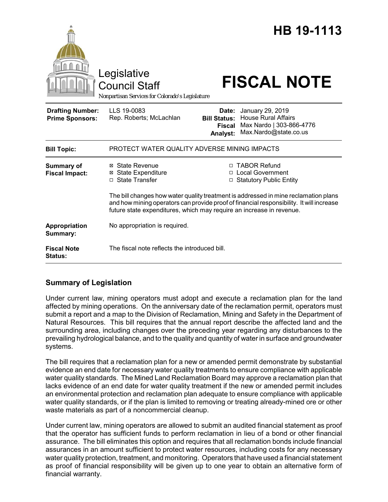|                                                   | Legislative<br><b>Council Staff</b><br>Nonpartisan Services for Colorado's Legislature                                                    |                                                           | HB 19-1113<br><b>FISCAL NOTE</b>                                                                                                                                                                                                                     |
|---------------------------------------------------|-------------------------------------------------------------------------------------------------------------------------------------------|-----------------------------------------------------------|------------------------------------------------------------------------------------------------------------------------------------------------------------------------------------------------------------------------------------------------------|
| <b>Drafting Number:</b><br><b>Prime Sponsors:</b> | LLS 19-0083<br>Rep. Roberts; McLachlan                                                                                                    | Date:<br><b>Bill Status:</b><br><b>Fiscal</b><br>Analyst: | January 29, 2019<br><b>House Rural Affairs</b><br>Max Nardo   303-866-4776<br>Max.Nardo@state.co.us                                                                                                                                                  |
| <b>Bill Topic:</b>                                | PROTECT WATER QUALITY ADVERSE MINING IMPACTS                                                                                              |                                                           |                                                                                                                                                                                                                                                      |
| <b>Summary of</b><br><b>Fiscal Impact:</b>        | ⊠ State Revenue<br><b>⊠ State Expenditure</b><br>□ State Transfer<br>future state expenditures, which may require an increase in revenue. |                                                           | □ TABOR Refund<br>□ Local Government<br>□ Statutory Public Entity<br>The bill changes how water quality treatment is addressed in mine reclamation plans<br>and how mining operators can provide proof of financial responsibility. It will increase |
| Appropriation<br>Summary:                         | No appropriation is required.                                                                                                             |                                                           |                                                                                                                                                                                                                                                      |
| <b>Fiscal Note</b><br><b>Status:</b>              | The fiscal note reflects the introduced bill.                                                                                             |                                                           |                                                                                                                                                                                                                                                      |

## **Summary of Legislation**

Under current law, mining operators must adopt and execute a reclamation plan for the land affected by mining operations. On the anniversary date of the reclamation permit, operators must submit a report and a map to the Division of Reclamation, Mining and Safety in the Department of Natural Resources. This bill requires that the annual report describe the affected land and the surrounding area, including changes over the preceding year regarding any disturbances to the prevailing hydrological balance, and to the quality and quantity of water in surface and groundwater systems.

The bill requires that a reclamation plan for a new or amended permit demonstrate by substantial evidence an end date for necessary water quality treatments to ensure compliance with applicable water quality standards. The Mined Land Reclamation Board may approve a reclamation plan that lacks evidence of an end date for water quality treatment if the new or amended permit includes an environmental protection and reclamation plan adequate to ensure compliance with applicable water quality standards, or if the plan is limited to removing or treating already-mined ore or other waste materials as part of a noncommercial cleanup.

Under current law, mining operators are allowed to submit an audited financial statement as proof that the operator has sufficient funds to perform reclamation in lieu of a bond or other financial assurance. The bill eliminates this option and requires that all reclamation bonds include financial assurances in an amount sufficient to protect water resources, including costs for any necessary water quality protection, treatment, and monitoring. Operators that have used a financial statement as proof of financial responsibility will be given up to one year to obtain an alternative form of financial warranty.